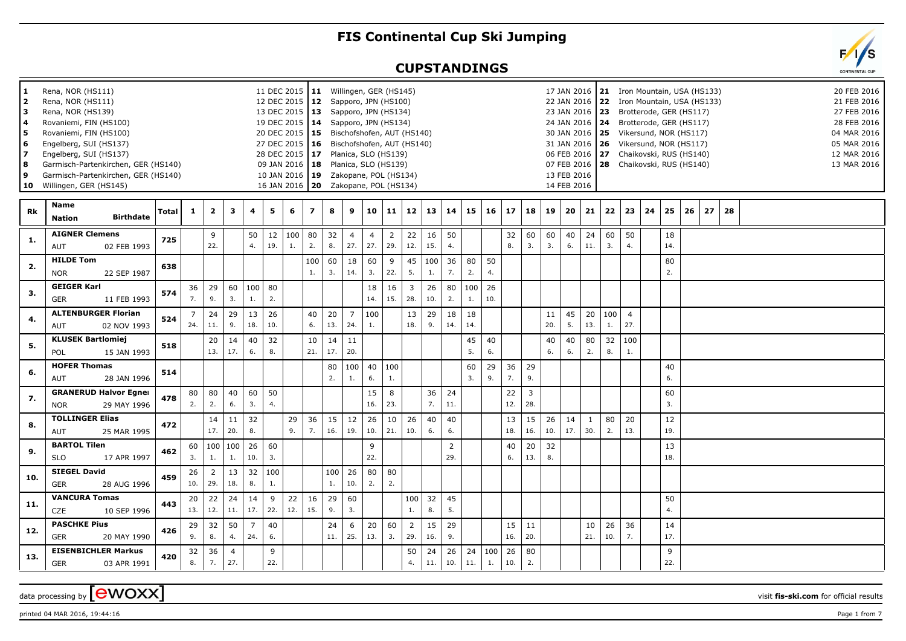## **FIS Continental Cup Ski Jumping**

## **CUPSTANDINGS**

| 1<br>l 2<br>lз<br>  4<br>5<br>6<br>7<br>8 ا<br>و ا<br>10 | Rena, NOR (HS111)<br>Rena, NOR (HS111)<br>Rena, NOR (HS139)<br>Rovaniemi, FIN (HS100)<br>Rovaniemi, FIN (HS100)<br>Engelberg, SUI (HS137)<br>Engelberg, SUI (HS137)<br>Garmisch-Partenkirchen, GER (HS140)<br>Garmisch-Partenkirchen, GER (HS140)<br>Willingen, GER (HS145) |                  |       |                       |                         |                       |                       |           |                     | 11 DEC 2015   11 Willingen, GER (HS145)<br>12 DEC 2015   12 Sapporo, JPN (HS100)<br>13 DEC 2015   13 Sapporo, JPN (HS134)<br>19 DEC 2015   14 Sapporo, JPN (HS134)<br>28 DEC 2015   17 Planica, SLO (HS139)<br>09 JAN 2016   18 Planica, SLO (HS139)<br>10 JAN 2016   19 Zakopane, POL (HS134)<br>16 JAN 2016   20  Zakopane, POL (HS134) |           |                       |                       |                       | 20 DEC 2015   15 Bischofshofen, AUT (HS140)<br>27 DEC 2015 16 Bischofshofen, AUT (HS140) |                 |           |           |           |           |                       |           | 17 JAN 2016<br>31 JAN 2016<br>13 FEB 2016<br>14 FEB 2016 |                     |           | 21 Iron Mountain, USA (HS133)<br>22 JAN 2016 22 Iron Mountain, USA (HS133)<br>23 JAN 2016 23 Brotterode, GER (HS117)<br>24 JAN 2016   24 Brotterode, GER (HS117)<br>30 JAN 2016   25 Vikersund, NOR (HS117)<br>26 Vikersund, NOR (HS117)<br>06 FEB 2016 27 Chaikovski, RUS (HS140)<br>07 FEB 2016 28 Chaikovski, RUS (HS140) |    |           |    |    |    |  |  | 04 MAR 2016<br>05 MAR 2016<br>12 MAR 2016<br>13 MAR 2016 | 20 FEB 2016<br>21 FEB 2016<br>27 FEB 2016<br>28 FEB 2016 |
|----------------------------------------------------------|-----------------------------------------------------------------------------------------------------------------------------------------------------------------------------------------------------------------------------------------------------------------------------|------------------|-------|-----------------------|-------------------------|-----------------------|-----------------------|-----------|---------------------|-------------------------------------------------------------------------------------------------------------------------------------------------------------------------------------------------------------------------------------------------------------------------------------------------------------------------------------------|-----------|-----------------------|-----------------------|-----------------------|------------------------------------------------------------------------------------------|-----------------|-----------|-----------|-----------|-----------|-----------------------|-----------|----------------------------------------------------------|---------------------|-----------|------------------------------------------------------------------------------------------------------------------------------------------------------------------------------------------------------------------------------------------------------------------------------------------------------------------------------|----|-----------|----|----|----|--|--|----------------------------------------------------------|----------------------------------------------------------|
| <b>Rk</b>                                                | <b>Name</b><br><b>Nation</b>                                                                                                                                                                                                                                                | <b>Birthdate</b> | Total | $\mathbf{1}$          | $\overline{\mathbf{2}}$ | 3                     | 4                     | 5         | 6                   | $\overline{z}$                                                                                                                                                                                                                                                                                                                            | 8         | 9                     | 10                    | 11                    | 12                                                                                       | 13 <sup>1</sup> | 14        | 15        | 16        | 17        | 18                    | 19        | 20 <sub>1</sub>                                          | 21                  | 22        | 23                                                                                                                                                                                                                                                                                                                           | 24 | 25        | 26 | 27 | 28 |  |  |                                                          |                                                          |
| 1.                                                       | <b>AIGNER Clemens</b><br><b>AUT</b>                                                                                                                                                                                                                                         | 02 FEB 1993      | 725   |                       | 9<br>22.                |                       | 50<br>4.              | 19.       | $12 \mid 100$<br>1. | 80<br>2.                                                                                                                                                                                                                                                                                                                                  | 32<br>8.  | $\overline{4}$<br>27. | $\overline{4}$<br>27. | $\overline{2}$<br>29. | 22<br>12.                                                                                | 16<br>15.       | 50<br>4.  |           |           | 32<br>8.  | 60<br>3.              | 60<br>3.  | 40<br>6.                                                 | 24<br>11.           | 60<br>3.  | 50<br>4.                                                                                                                                                                                                                                                                                                                     |    | 18<br>14. |    |    |    |  |  |                                                          |                                                          |
| 2.                                                       | <b>HILDE Tom</b><br><b>NOR</b>                                                                                                                                                                                                                                              | 22 SEP 1987      | 638   |                       |                         |                       |                       |           |                     | 100<br>1.                                                                                                                                                                                                                                                                                                                                 | 60<br>3.  | 18<br>14.             | 60<br>3.              | 9<br>22.              | 45<br>5.                                                                                 | 100<br>1.       | 36<br>7.  | 80<br>2.  | 50<br>4.  |           |                       |           |                                                          |                     |           |                                                                                                                                                                                                                                                                                                                              |    | 80<br>2.  |    |    |    |  |  |                                                          |                                                          |
| 3.                                                       | <b>GEIGER Karl</b><br><b>GER</b>                                                                                                                                                                                                                                            | 11 FEB 1993      | 574   | 36<br>7.              | 29<br>9.                | 60<br>3.              | 100<br>1.             | 80<br>2.  |                     |                                                                                                                                                                                                                                                                                                                                           |           |                       | 18<br>14.             | 16<br>15.             | $\overline{3}$<br>28.                                                                    | 26<br>10.       | 80<br>2.  | 100<br>1. | 26<br>10. |           |                       |           |                                                          |                     |           |                                                                                                                                                                                                                                                                                                                              |    |           |    |    |    |  |  |                                                          |                                                          |
| 4.                                                       | <b>ALTENBURGER Florian</b><br><b>AUT</b>                                                                                                                                                                                                                                    | 02 NOV 1993      | 524   | $\overline{7}$<br>24. | 24<br>11.               | 29<br>9.              | 13<br>18.             | 26<br>10. |                     | 40<br>6.                                                                                                                                                                                                                                                                                                                                  | 20<br>13. | $\overline{7}$<br>24. | 100<br>1.             |                       | 13<br>18.                                                                                | 29<br>9.        | 18<br>14. | 18<br>14. |           |           |                       | 11<br>20. | 45<br>5.                                                 | 20<br>13.           | 100<br>1. | $\overline{4}$<br>27.                                                                                                                                                                                                                                                                                                        |    |           |    |    |    |  |  |                                                          |                                                          |
| 5.                                                       | <b>KLUSEK Bartlomiej</b><br>POL                                                                                                                                                                                                                                             | 15 JAN 1993      | 518   |                       | 20<br>13.               | 14<br>17.             | 40<br>6.              | 32<br>8.  |                     | 10<br>21.                                                                                                                                                                                                                                                                                                                                 | 14<br>17. | 11<br>20.             |                       |                       |                                                                                          |                 |           | 45<br>5.  | 40<br>6.  |           |                       | 40<br>6.  | 40<br>6.                                                 | 80<br>2.            | 32<br>8.  | 100<br>1.                                                                                                                                                                                                                                                                                                                    |    |           |    |    |    |  |  |                                                          |                                                          |
| 6.                                                       | <b>HOFER Thomas</b><br><b>AUT</b>                                                                                                                                                                                                                                           | 28 JAN 1996      | 514   |                       |                         |                       |                       |           |                     |                                                                                                                                                                                                                                                                                                                                           | 80<br>2.  | 100  <br>1.           | 40<br>6.              | 100<br>1.             |                                                                                          |                 |           | 60<br>3.  | 29<br>9.  | 36<br>7.  | 29<br>9.              |           |                                                          |                     |           |                                                                                                                                                                                                                                                                                                                              |    | 40<br>6.  |    |    |    |  |  |                                                          |                                                          |
| 7.                                                       | <b>GRANERUD Halvor Egner</b><br><b>NOR</b>                                                                                                                                                                                                                                  | 29 MAY 1996      | 478   | 80<br>2.              | 80<br>2.                | 40<br>6.              | 60<br>3.              | 50<br>4.  |                     |                                                                                                                                                                                                                                                                                                                                           |           |                       | 15<br>16.             | 8<br>23.              |                                                                                          | 36<br>7.        | 24<br>11. |           |           | 22<br>12. | $\overline{3}$<br>28. |           |                                                          |                     |           |                                                                                                                                                                                                                                                                                                                              |    | 60<br>3.  |    |    |    |  |  |                                                          |                                                          |
| 8.                                                       | <b>TOLLINGER Elias</b><br><b>AUT</b>                                                                                                                                                                                                                                        | 25 MAR 1995      | 472   |                       | 14<br>17.               | 11<br>20.             | 32<br>8.              |           | 29<br>9.            | 36<br>7.                                                                                                                                                                                                                                                                                                                                  | 15<br>16. | 12<br>19.             | 26<br>10.             | 10<br>21.             | 26<br>10.                                                                                | 40<br>6.        | 40<br>6.  |           |           | 13<br>18. | 15<br>16.             | 26<br>10. | 14<br>17.                                                | <sup>1</sup><br>30. | 80<br>2.  | 20<br>13.                                                                                                                                                                                                                                                                                                                    |    | 12<br>19. |    |    |    |  |  |                                                          |                                                          |
| 9.                                                       | <b>BARTOL Tilen</b><br><b>SLO</b>                                                                                                                                                                                                                                           | 17 APR 1997      | 462   | 60<br>3.              | 1.                      | $100$   $100$<br>1.   | 26<br>10.             | 60<br>3.  |                     |                                                                                                                                                                                                                                                                                                                                           |           |                       | 9<br>22.              |                       |                                                                                          |                 | 2<br>29.  |           |           | 40<br>6.  | 20<br>13.             | 32<br>8.  |                                                          |                     |           |                                                                                                                                                                                                                                                                                                                              |    | 13<br>18. |    |    |    |  |  |                                                          |                                                          |
| 10.                                                      | <b>SIEGEL David</b><br><b>GER</b>                                                                                                                                                                                                                                           | 28 AUG 1996      | 459   | 26<br>10.             | 2<br>29.                | 13<br>18.             | 32<br>8.              | 100<br>1. |                     |                                                                                                                                                                                                                                                                                                                                           | 100<br>1. | 26<br>10.             | 80<br>2.              | 80<br>2.              |                                                                                          |                 |           |           |           |           |                       |           |                                                          |                     |           |                                                                                                                                                                                                                                                                                                                              |    |           |    |    |    |  |  |                                                          |                                                          |
| 11.                                                      | <b>VANCURA Tomas</b><br>CZE                                                                                                                                                                                                                                                 | 10 SEP 1996      | 443   | 20<br>13.             | 22<br>12.               | 24<br>11.             | 14<br>17.             | 9<br>22.  | 22<br>12.           | 16<br>15.                                                                                                                                                                                                                                                                                                                                 | 29<br>9.  | 60<br>3.              |                       |                       | 100<br>1.                                                                                | 32<br>8.        | 45<br>5.  |           |           |           |                       |           |                                                          |                     |           |                                                                                                                                                                                                                                                                                                                              |    | 50<br>4.  |    |    |    |  |  |                                                          |                                                          |
| 12.                                                      | <b>PASCHKE Pius</b><br><b>GER</b>                                                                                                                                                                                                                                           | 20 MAY 1990      | 426   | 29<br>9.              | 32<br>8.                | 50<br>4.              | $\overline{7}$<br>24. | 40<br>6.  |                     |                                                                                                                                                                                                                                                                                                                                           | 24<br>11. | 6<br>25.              | 20<br>13.             | 60<br>3.              | $\overline{2}$<br>29.                                                                    | 15<br>16.       | 29<br>9.  |           |           | 15<br>16. | 11<br>20.             |           |                                                          | 10<br>21.           | 26<br>10. | 36<br>7.                                                                                                                                                                                                                                                                                                                     |    | 14<br>17. |    |    |    |  |  |                                                          |                                                          |
| 13.                                                      | <b>EISENBICHLER Markus</b><br><b>GER</b>                                                                                                                                                                                                                                    | 03 APR 1991      | 420   | 32<br>8.              | 36<br>7.                | $\overline{4}$<br>27. |                       | 9<br>22.  |                     |                                                                                                                                                                                                                                                                                                                                           |           |                       |                       |                       | 50<br>4.                                                                                 | 24<br>11.       | 26<br>10. | 24<br>11. | 100<br>1. | 26<br>10. | 80<br>2.              |           |                                                          |                     |           |                                                                                                                                                                                                                                                                                                                              |    | 9<br>22.  |    |    |    |  |  |                                                          |                                                          |

data processing by **CWOXX** wisit **fis-ski.com** for official results

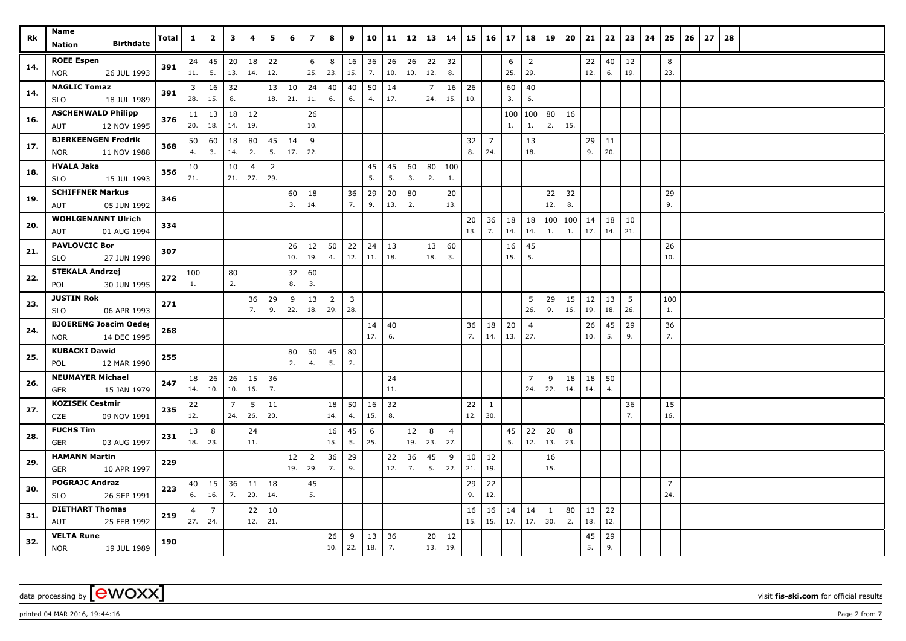| Rk  | Name<br><b>Birthdate</b><br>Nation                | Total | $\mathbf{1}$ | $\overline{2}$ | 3              | 4              | 5              | 6         | $\overline{ }$ | 8              | 9              | 10        | 11        | 12        | 13        | 14             | 15        | 16             | 17        | 18                    | 19           | 20        | 21        | 22       | 23                  | 24 | 25             | 26 | 27 | 28 |  |  |  |  |
|-----|---------------------------------------------------|-------|--------------|----------------|----------------|----------------|----------------|-----------|----------------|----------------|----------------|-----------|-----------|-----------|-----------|----------------|-----------|----------------|-----------|-----------------------|--------------|-----------|-----------|----------|---------------------|----|----------------|----|----|----|--|--|--|--|
|     |                                                   |       |              |                |                |                |                |           |                |                |                |           |           |           |           |                |           |                |           |                       |              |           |           |          |                     |    |                |    |    |    |  |  |  |  |
| 14. | <b>ROEE Espen</b><br><b>NOR</b><br>26 JUL 1993    | 391   | 24<br>11.    | 45<br>5.       | 20<br>13.      | 18<br>14.      | 22<br>12.      |           | 6<br>25.       | 8<br>23.       | 16<br>15.      | 36<br>7.  | 26<br>10. | 26<br>10. | 22<br>12. | 32<br>8.       |           |                | 6<br>25.  | $\overline{2}$<br>29. |              |           | 22<br>12. | 6.       | $40 \mid 12$<br>19. |    | 8<br>23.       |    |    |    |  |  |  |  |
|     | <b>NAGLIC Tomaz</b>                               |       |              |                |                |                |                |           |                |                |                |           |           |           |           |                |           |                |           |                       |              |           |           |          |                     |    |                |    |    |    |  |  |  |  |
| 14. | 18 JUL 1989<br><b>SLO</b>                         | 391   | 3<br>28.     | 16<br>15.      | 32<br>8.       |                | 13<br>18.      | 10<br>21. | 24<br>11.      | 40<br>6.       | 40<br>6.       | 50<br>4.  | 14<br>17. |           | 7<br>24.  | 16<br>15.      | 26<br>10. |                | 60<br>3.  | 40<br>6.              |              |           |           |          |                     |    |                |    |    |    |  |  |  |  |
|     | <b>ASCHENWALD Philipp</b>                         |       |              | $11 \mid 13$   | 18             | 12             |                |           | 26             |                |                |           |           |           |           |                |           |                | 100       | 100                   | 80           | 16        |           |          |                     |    |                |    |    |    |  |  |  |  |
| 16. | 12 NOV 1995<br>AUT                                | 376   | 20.          | 18.            | 14.            | 19.            |                |           | 10.            |                |                |           |           |           |           |                |           |                | 1.        | 1.                    | 2.           | 15.       |           |          |                     |    |                |    |    |    |  |  |  |  |
|     | <b>BJERKEENGEN Fredrik</b>                        |       | 50           | 60             | 18             | 80             | 45             | 14        | 9              |                |                |           |           |           |           |                | 32        | $\overline{7}$ |           | 13                    |              |           | 29        | 11       |                     |    |                |    |    |    |  |  |  |  |
| 17. | 11 NOV 1988<br><b>NOR</b>                         | 368   | 4.           | 3.             | 14.            | 2.             | 5.             | 17.       | 22.            |                |                |           |           |           |           |                | 8.        | 24.            |           | 18.                   |              |           | 9.        | 20.      |                     |    |                |    |    |    |  |  |  |  |
| 18. | <b>HVALA Jaka</b>                                 | 356   | 10           |                | 10             | $\overline{4}$ | $\overline{2}$ |           |                |                |                | 45        | 45        | 60        | 80        | 100            |           |                |           |                       |              |           |           |          |                     |    |                |    |    |    |  |  |  |  |
|     | 15 JUL 1993<br><b>SLO</b>                         |       | 21.          |                | 21.            | 27.            | 29.            |           |                |                |                | 5.        | 5.        | 3.        | 2.        | 1.             |           |                |           |                       |              |           |           |          |                     |    |                |    |    |    |  |  |  |  |
| 19. | <b>SCHIFFNER Markus</b>                           | 346   |              |                |                |                |                | 60        | 18             |                | 36             | 29        | 20        | 80        |           | 20             |           |                |           |                       | 22           | 32        |           |          |                     |    | 29             |    |    |    |  |  |  |  |
|     | 05 JUN 1992<br>AUT                                |       |              |                |                |                |                | 3.        | 14.            |                | 7.             | 9.        | 13.       | 2.        |           | 13.            |           |                |           |                       | 12.          | 8.        |           |          |                     |    | 9.             |    |    |    |  |  |  |  |
| 20. | <b>WOHLGENANNT Ulrich</b>                         | 334   |              |                |                |                |                |           |                |                |                |           |           |           |           |                | 20        | 36             | 18        | 18                    |              | 100   100 | 14        | 18       | 10                  |    |                |    |    |    |  |  |  |  |
|     | 01 AUG 1994<br>AUT                                |       |              |                |                |                |                |           |                |                |                |           |           |           |           |                | 13.       | 7.             | 14.       | 14.                   | 1.           | 1.        | 17.       | 14.      | 21.                 |    |                |    |    |    |  |  |  |  |
| 21. | <b>PAVLOVCIC Bor</b>                              | 307   |              |                |                |                |                | 26        | 12             | 50             | 22             | 24        | 13        |           | 13        | 60             |           |                | 16        | 45                    |              |           |           |          |                     |    | 26             |    |    |    |  |  |  |  |
|     | <b>SLO</b><br>27 JUN 1998                         |       |              |                |                |                |                | 10.       | 19.            | 4.             | 12.            | 11.       | 18.       |           | 18.       | 3.             |           |                | 15.       | 5.                    |              |           |           |          |                     |    | 10.            |    |    |    |  |  |  |  |
| 22. | <b>STEKALA Andrzej</b>                            | 272   | 100          |                | 80             |                |                | 32        | 60             |                |                |           |           |           |           |                |           |                |           |                       |              |           |           |          |                     |    |                |    |    |    |  |  |  |  |
|     | 30 JUN 1995<br>POL                                |       | 1.           |                | 2.             |                |                | 8.        | 3.             |                |                |           |           |           |           |                |           |                |           |                       |              |           |           |          |                     |    |                |    |    |    |  |  |  |  |
| 23. | <b>JUSTIN Rok</b>                                 | 271   |              |                |                | 36             | 29             | 9         | 13             | $\overline{2}$ | $\overline{3}$ |           |           |           |           |                |           |                |           | 5                     | 29           | 15        | 12        | 13       | 5                   |    | 100            |    |    |    |  |  |  |  |
|     | <b>SLO</b><br>06 APR 1993                         |       |              |                |                | 7.             | 9.             | 22.       | 18.            | 29.            | 28.            |           |           |           |           |                |           |                |           | 26.                   | 9.           | 16.       | 19.       | 18.      | 26.                 |    | 1.             |    |    |    |  |  |  |  |
| 24. | <b>BJOERENG Joacim Oeder</b>                      | 268   |              |                |                |                |                |           |                |                |                | 14<br>17. | 40<br>6.  |           |           |                | 36<br>7.  | 18<br>14.      | 20<br>13. | $\overline{4}$<br>27. |              |           | 26<br>10. | 45<br>5. | 29<br>9.            |    | 36<br>7.       |    |    |    |  |  |  |  |
|     | 14 DEC 1995<br><b>NOR</b><br><b>KUBACKI Dawid</b> |       |              |                |                |                |                |           |                |                |                |           |           |           |           |                |           |                |           |                       |              |           |           |          |                     |    |                |    |    |    |  |  |  |  |
| 25. | 12 MAR 1990<br>POL                                | 255   |              |                |                |                |                | 80<br>2.  | 50<br>4.       | 45<br>5.       | 80<br>2.       |           |           |           |           |                |           |                |           |                       |              |           |           |          |                     |    |                |    |    |    |  |  |  |  |
|     | <b>NEUMAYER Michael</b>                           |       | 18           | 26             | 26             | 15             | 36             |           |                |                |                |           | 24        |           |           |                |           |                |           | $\overline{7}$        |              | 18        | 18        | 50       |                     |    |                |    |    |    |  |  |  |  |
| 26. | 15 JAN 1979<br><b>GER</b>                         | 247   | 14.          | 10.            | 10.            | 16.            | 7.             |           |                |                |                |           | 11.       |           |           |                |           |                |           | 24.                   | 9<br>22.     | 14.       | 14.       | 4.       |                     |    |                |    |    |    |  |  |  |  |
|     | <b>KOZISEK Cestmir</b>                            |       | 22           |                | $\overline{7}$ | 5              | 11             |           |                | 18             | 50             | 16        | 32        |           |           |                | 22        | $\mathbf{1}$   |           |                       |              |           |           |          | 36                  |    | 15             |    |    |    |  |  |  |  |
| 27. | <b>CZE</b><br>09 NOV 1991                         | 235   | 12.          |                | 24.            | 26.            | 20.            |           |                | 14.            | 4.             | 15.       | 8.        |           |           |                | 12.       | 30.            |           |                       |              |           |           |          | 7.                  |    | 16.            |    |    |    |  |  |  |  |
| 28. | <b>FUCHS Tim</b>                                  | 231   | 13           | 8              |                | 24             |                |           |                | 16             | 45             | 6         |           | 12        | 8         | $\overline{4}$ |           |                | 45        | 22                    | 20           | 8         |           |          |                     |    |                |    |    |    |  |  |  |  |
|     | GER<br>03 AUG 1997                                |       | 18.          | 23.            |                | 11.            |                |           |                | 15.            | 5.             | 25.       |           | 19.       | 23.       | 27.            |           |                | 5.        | 12.                   | 13.          | 23.       |           |          |                     |    |                |    |    |    |  |  |  |  |
| 29. | <b>HAMANN Martin</b>                              | 229   |              |                |                |                |                | 12        | $\overline{2}$ | 36             | 29             |           | 22        | 36        | 45        | 9              | 10        | 12             |           |                       | 16           |           |           |          |                     |    |                |    |    |    |  |  |  |  |
|     | 10 APR 1997<br>GER                                |       |              |                |                |                |                | 19.       | 29.            | 7.             | 9.             |           | 12.       | 7.        | 5.        | 22.            | 21.       | 19.            |           |                       | 15.          |           |           |          |                     |    |                |    |    |    |  |  |  |  |
| 30. | <b>POGRAJC Andraz</b>                             | 223   |              | $40 \mid 15$   | 36             | 11             | 18             |           | 45             |                |                |           |           |           |           |                | 29        | 22             |           |                       |              |           |           |          |                     |    | $\overline{7}$ |    |    |    |  |  |  |  |
|     | <b>SLO</b><br>26 SEP 1991                         |       | 6.           | 16.            | 7.             | 20.            | 14.            |           | 5.             |                |                |           |           |           |           |                | 9.        | 12.            |           |                       |              |           |           |          |                     |    | 24.            |    |    |    |  |  |  |  |
| 31. | <b>DIETHART Thomas</b>                            | 219   | 4            | $\overline{7}$ |                | 22             | 10             |           |                |                |                |           |           |           |           |                | 16        | 16             | 14        | 14                    | $\mathbf{1}$ | 80        | 13        | 22       |                     |    |                |    |    |    |  |  |  |  |
|     | 25 FEB 1992<br>AUT                                |       | 27.          | 24.            |                | 12.            | 21.            |           |                |                |                |           |           |           |           |                | 15.       | 15.            | 17.       | 17.                   | 30.          | 2.        | 18.       | 12.      |                     |    |                |    |    |    |  |  |  |  |
| 32. | <b>VELTA Rune</b>                                 | 190   |              |                |                |                |                |           |                | 26             | 9              | 13        | 36        |           | 20        | 12             |           |                |           |                       |              |           | 45        | 29       |                     |    |                |    |    |    |  |  |  |  |
|     | <b>NOR</b><br>19 JUL 1989                         |       |              |                |                |                |                |           |                | 10.            | 22.            | 18.       | 7.        |           | 13.       | 19.            |           |                |           |                       |              |           | 5.        | 9.       |                     |    |                |    |    |    |  |  |  |  |

printed 04 MAR 2016, 19:44:16 **Page 2** from 7 **Page 2** from 7 **Page 2** from 7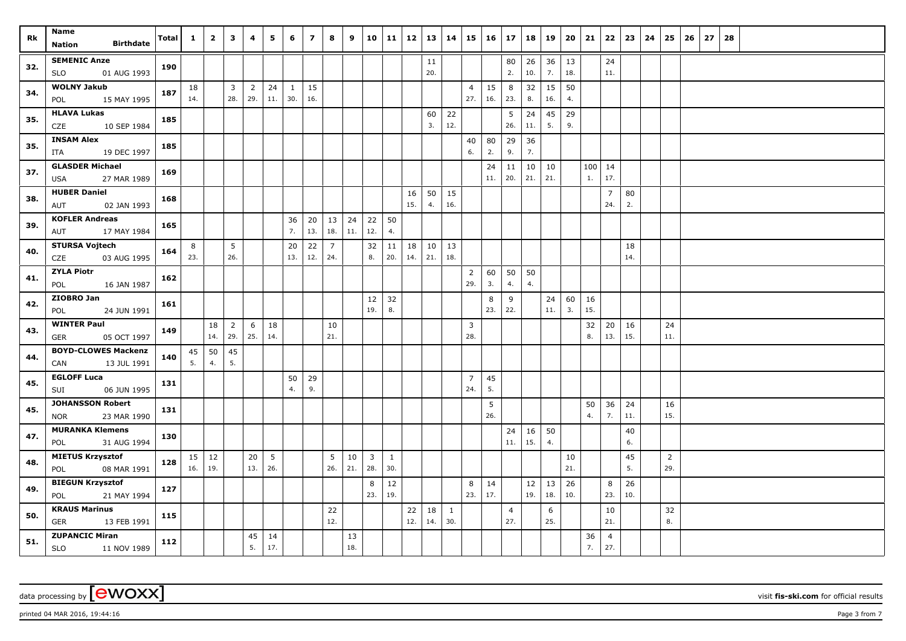| Rk  | Name<br><b>Birthdate</b><br>Nation                | Total | $\mathbf{1}$ | $\overline{2}$ | $\overline{\mathbf{3}}$ | 4              | 5   | 6         | $\overline{ }$ | 8                     | 9         | 10                      | $11 \mid 12$  |           | 13        | 14                  |                       | $15 \mid 16 \mid 17$ |                       | 18        | 19           | $20 \mid 21$ |     |                       | $22 \mid 23$ | 24 | 25             | 26 | 27 | 28 |  |  |  |  |
|-----|---------------------------------------------------|-------|--------------|----------------|-------------------------|----------------|-----|-----------|----------------|-----------------------|-----------|-------------------------|---------------|-----------|-----------|---------------------|-----------------------|----------------------|-----------------------|-----------|--------------|--------------|-----|-----------------------|--------------|----|----------------|----|----|----|--|--|--|--|
|     |                                                   |       |              |                |                         |                |     |           |                |                       |           |                         |               |           |           |                     |                       |                      |                       |           |              |              |     |                       |              |    |                |    |    |    |  |  |  |  |
| 32. | <b>SEMENIC Anze</b><br>01 AUG 1993<br>SLO         | 190   |              |                |                         |                |     |           |                |                       |           |                         |               |           | 11<br>20. |                     |                       |                      | 80<br>2.              | 26<br>10. | 36<br>7.     | 13<br>18.    |     | 24<br>11.             |              |    |                |    |    |    |  |  |  |  |
|     | <b>WOLNY Jakub</b>                                |       | 18           |                | $\overline{\mathbf{3}}$ | $\overline{2}$ | 24  | 1         | 15             |                       |           |                         |               |           |           |                     | $\overline{4}$        | 15                   | 8                     | 32        | 15           | 50           |     |                       |              |    |                |    |    |    |  |  |  |  |
| 34. | 15 MAY 1995<br>POL                                | 187   | 14.          |                | 28.                     | 29.            | 11. | 30.       | 16.            |                       |           |                         |               |           |           |                     | 27.                   | 16.                  | 23.                   | 8.        | 16.          | 4.           |     |                       |              |    |                |    |    |    |  |  |  |  |
|     | <b>HLAVA Lukas</b>                                |       |              |                |                         |                |     |           |                |                       |           |                         |               |           | 60        | 22                  |                       |                      | 5                     | 24        | 45           | 29           |     |                       |              |    |                |    |    |    |  |  |  |  |
| 35. | 10 SEP 1984<br>CZE                                | 185   |              |                |                         |                |     |           |                |                       |           |                         |               |           | 3.        | 12.                 |                       |                      | 26.                   | 11.       | 5.           | 9.           |     |                       |              |    |                |    |    |    |  |  |  |  |
| 35. | <b>INSAM Alex</b>                                 | 185   |              |                |                         |                |     |           |                |                       |           |                         |               |           |           |                     | 40                    | 80                   | 29                    | 36        |              |              |     |                       |              |    |                |    |    |    |  |  |  |  |
|     | 19 DEC 1997<br>ITA                                |       |              |                |                         |                |     |           |                |                       |           |                         |               |           |           |                     | 6.                    | 2.                   | 9.                    | 7.        |              |              |     |                       |              |    |                |    |    |    |  |  |  |  |
| 37. | <b>GLASDER Michael</b>                            | 169   |              |                |                         |                |     |           |                |                       |           |                         |               |           |           |                     |                       | 24                   | 11                    |           | $10 \mid 10$ |              | 100 | 14                    |              |    |                |    |    |    |  |  |  |  |
|     | 27 MAR 1989<br><b>USA</b>                         |       |              |                |                         |                |     |           |                |                       |           |                         |               |           |           |                     |                       | 11.                  | 20.                   | 21.       | 21.          |              | 1.  | 17.                   |              |    |                |    |    |    |  |  |  |  |
| 38. | <b>HUBER Daniel</b>                               | 168   |              |                |                         |                |     |           |                |                       |           |                         |               | 16        | 50        | 15                  |                       |                      |                       |           |              |              |     | 7                     | 80           |    |                |    |    |    |  |  |  |  |
|     | 02 JAN 1993<br>AUT                                |       |              |                |                         |                |     |           |                |                       |           |                         |               | 15.       | 4.        | 16.                 |                       |                      |                       |           |              |              |     | 24.                   | 2.           |    |                |    |    |    |  |  |  |  |
| 39. | <b>KOFLER Andreas</b>                             | 165   |              |                |                         |                |     | 36<br>7.  | 20<br>13.      | 13<br>18.             | 24<br>11. | $22$<br>12.             | 50<br>4.      |           |           |                     |                       |                      |                       |           |              |              |     |                       |              |    |                |    |    |    |  |  |  |  |
|     | 17 MAY 1984<br>AUT                                |       |              |                |                         |                |     |           |                |                       |           |                         |               |           |           |                     |                       |                      |                       |           |              |              |     |                       |              |    |                |    |    |    |  |  |  |  |
| 40. | <b>STURSA Vojtech</b><br>CZE<br>03 AUG 1995       | 164   | 8<br>23.     |                | 5<br>26.                |                |     | 20<br>13. | 22<br>12.      | $\overline{7}$<br>24. |           | 32<br>8.                | 11<br>20.     | 18<br>14. | 10<br>21. | 13<br>18.           |                       |                      |                       |           |              |              |     |                       | 18<br>14.    |    |                |    |    |    |  |  |  |  |
|     | <b>ZYLA Piotr</b>                                 |       |              |                |                         |                |     |           |                |                       |           |                         |               |           |           |                     |                       |                      |                       |           |              |              |     |                       |              |    |                |    |    |    |  |  |  |  |
| 41. | 16 JAN 1987<br>POL                                | 162   |              |                |                         |                |     |           |                |                       |           |                         |               |           |           |                     | $\overline{2}$<br>29. | 60<br>3.             | 50<br>4.              | 50<br>4.  |              |              |     |                       |              |    |                |    |    |    |  |  |  |  |
|     | ZIOBRO Jan                                        |       |              |                |                         |                |     |           |                |                       |           | 12                      | 32            |           |           |                     |                       | 8                    | 9                     |           | 24           | 60           | 16  |                       |              |    |                |    |    |    |  |  |  |  |
| 42. | 24 JUN 1991<br>POL                                | 161   |              |                |                         |                |     |           |                |                       |           | 19.                     | 8.            |           |           |                     |                       | 23.                  | 22.                   |           | 11.          | 3.           | 15. |                       |              |    |                |    |    |    |  |  |  |  |
|     | <b>WINTER Paul</b>                                |       |              | 18             | $\overline{2}$          | 6              | 18  |           |                | 10                    |           |                         |               |           |           |                     | 3                     |                      |                       |           |              |              | 32  | 20                    | 16           |    | 24             |    |    |    |  |  |  |  |
| 43. | <b>GER</b><br>05 OCT 1997                         | 149   |              | 14.            | 29.                     | 25.            | 14. |           |                | 21.                   |           |                         |               |           |           |                     | 28.                   |                      |                       |           |              |              | 8.  | 13.                   | 15.          |    | 11.            |    |    |    |  |  |  |  |
| 44. | <b>BOYD-CLOWES Mackenzi</b>                       | 140   | 45           | 50             | 45                      |                |     |           |                |                       |           |                         |               |           |           |                     |                       |                      |                       |           |              |              |     |                       |              |    |                |    |    |    |  |  |  |  |
|     | 13 JUL 1991<br>CAN                                |       | 5.           | 4.             | 5.                      |                |     |           |                |                       |           |                         |               |           |           |                     |                       |                      |                       |           |              |              |     |                       |              |    |                |    |    |    |  |  |  |  |
| 45. | <b>EGLOFF Luca</b>                                | 131   |              |                |                         |                |     | 50        | 29             |                       |           |                         |               |           |           |                     | $\overline{7}$        | 45                   |                       |           |              |              |     |                       |              |    |                |    |    |    |  |  |  |  |
|     | 06 JUN 1995<br>SUI                                |       |              |                |                         |                |     | 4.        | 9.             |                       |           |                         |               |           |           |                     | 24.                   | 5.                   |                       |           |              |              |     |                       |              |    |                |    |    |    |  |  |  |  |
| 45. | <b>JOHANSSON Robert</b>                           | 131   |              |                |                         |                |     |           |                |                       |           |                         |               |           |           |                     |                       | 5                    |                       |           |              |              | 50  | $36 \mid 24$          |              |    | 16             |    |    |    |  |  |  |  |
|     | 23 MAR 1990<br><b>NOR</b>                         |       |              |                |                         |                |     |           |                |                       |           |                         |               |           |           |                     |                       | 26.                  |                       |           |              |              | 4.  | 7.                    | 11.          |    | 15.            |    |    |    |  |  |  |  |
| 47. | <b>MURANKA Klemens</b>                            | 130   |              |                |                         |                |     |           |                |                       |           |                         |               |           |           |                     |                       |                      | 24                    | 16        | 50           |              |     |                       | 40           |    |                |    |    |    |  |  |  |  |
|     | 31 AUG 1994<br>POL                                |       |              |                |                         |                |     |           |                |                       |           |                         |               |           |           |                     |                       |                      | 11.                   | 15.       | 4.           |              |     |                       | 6.           |    |                |    |    |    |  |  |  |  |
| 48. | <b>MIETUS Krzysztof</b>                           | 128   |              | $15 \mid 12$   |                         | 20             | 5   |           |                | 5                     | 10        | $\overline{\mathbf{3}}$ | $\mathbf{1}$  |           |           |                     |                       |                      |                       |           |              | 10           |     |                       | 45           |    | $\overline{2}$ |    |    |    |  |  |  |  |
|     | 08 MAR 1991<br>POL                                |       | 16.          | 19.            |                         | 13.            | 26. |           |                | 26.                   | 21.       | 28.                     | 30.           |           |           |                     |                       |                      |                       |           |              | 21.          |     |                       | 5.           |    | 29.            |    |    |    |  |  |  |  |
| 49. | <b>BIEGUN Krzysztof</b>                           | 127   |              |                |                         |                |     |           |                |                       |           | 8<br>23.                | $12\,$<br>19. |           |           |                     | 8<br>23.              | 14<br>17.            |                       | 12<br>19. | 13<br>18.    | 26<br>10.    |     | 8<br>23.              | 26<br>10.    |    |                |    |    |    |  |  |  |  |
|     | 21 MAY 1994<br>POL                                |       |              |                |                         |                |     |           |                |                       |           |                         |               |           |           |                     |                       |                      |                       |           |              |              |     |                       |              |    |                |    |    |    |  |  |  |  |
| 50. | <b>KRAUS Marinus</b><br><b>GER</b><br>13 FEB 1991 | 115   |              |                |                         |                |     |           |                | 22<br>12.             |           |                         |               | 22<br>12. | 18<br>14. | $\mathbf{1}$<br>30. |                       |                      | $\overline{4}$<br>27. |           | 6<br>25.     |              |     | 10<br>21.             |              |    | 32<br>8.       |    |    |    |  |  |  |  |
|     | <b>ZUPANCIC Miran</b>                             |       |              |                |                         | 45             | 14  |           |                |                       | 13        |                         |               |           |           |                     |                       |                      |                       |           |              |              | 36  |                       |              |    |                |    |    |    |  |  |  |  |
| 51. | <b>SLO</b><br>11 NOV 1989                         | 112   |              |                |                         | 5.             | 17. |           |                |                       | 18.       |                         |               |           |           |                     |                       |                      |                       |           |              |              | 7.  | $\overline{4}$<br>27. |              |    |                |    |    |    |  |  |  |  |

printed 04 MAR 2016, 19:44:16  $P$ age 3 from 7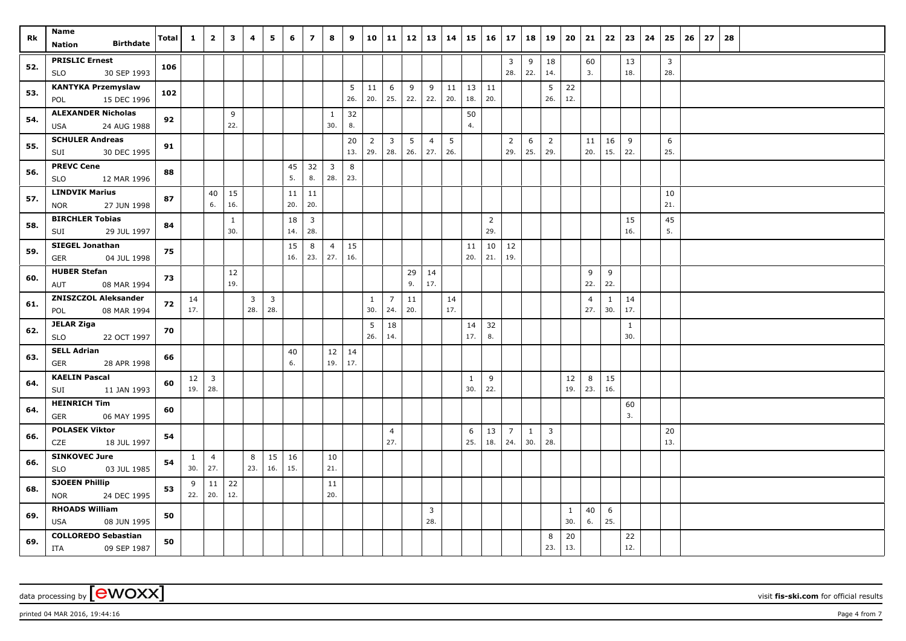| Rk  | Name                                               | Total | $\mathbf{1}$             | $\overline{2}$                | $\overline{\mathbf{3}}$ | 4                   | 5                     | 6         | $\overline{\mathbf{z}}$ | 8                              | 9         | 10                    | 11                    | 12        | 13                    | 14        | $15 \mid 16$        |                       | 17                    | 18                  | 19                             | 20                  | 21                    | 22        | 23                  | 24 | 25                  | 26 | 27 | 28 |  |  |  |
|-----|----------------------------------------------------|-------|--------------------------|-------------------------------|-------------------------|---------------------|-----------------------|-----------|-------------------------|--------------------------------|-----------|-----------------------|-----------------------|-----------|-----------------------|-----------|---------------------|-----------------------|-----------------------|---------------------|--------------------------------|---------------------|-----------------------|-----------|---------------------|----|---------------------|----|----|----|--|--|--|
|     | <b>Birthdate</b><br><b>Nation</b>                  |       |                          |                               |                         |                     |                       |           |                         |                                |           |                       |                       |           |                       |           |                     |                       |                       |                     |                                |                     |                       |           |                     |    |                     |    |    |    |  |  |  |
| 52. | <b>PRISLIC Ernest</b><br>30 SEP 1993<br><b>SLO</b> | 106   |                          |                               |                         |                     |                       |           |                         |                                |           |                       |                       |           |                       |           |                     |                       | 3<br>28.              | 9<br>22.            | 18<br>14.                      |                     | 60<br>3.              |           | 13<br>18.           |    | $\mathbf{3}$<br>28. |    |    |    |  |  |  |
| 53. | <b>KANTYKA Przemyslaw</b><br>15 DEC 1996<br>POL    | 102   |                          |                               |                         |                     |                       |           |                         |                                | 5<br>26.  | 11<br>20.             | 6<br>25.              | 9<br>22.  | 9<br>22.              | 11<br>20. | $13 \mid 11$<br>18. | 20.                   |                       |                     | 5<br>26.                       | 22<br>12.           |                       |           |                     |    |                     |    |    |    |  |  |  |
| 54. | <b>ALEXANDER Nicholas</b><br>24 AUG 1988<br>USA    | 92    |                          |                               | 9<br>22.                |                     |                       |           |                         | $\mathbf{1}$<br>30.            | 32<br>8.  |                       |                       |           |                       |           | 50<br>4.            |                       |                       |                     |                                |                     |                       |           |                     |    |                     |    |    |    |  |  |  |
| 55. | <b>SCHULER Andreas</b><br>30 DEC 1995<br>SUI       | 91    |                          |                               |                         |                     |                       |           |                         |                                | 20<br>13. | $\overline{2}$<br>29. | $\mathbf{3}$<br>28.   | 5<br>26.  | $\overline{4}$<br>27. | 5<br>26.  |                     |                       | $\overline{2}$<br>29. | 6<br>25.            | $\overline{2}$<br>29.          |                     | 11<br>20.             | 16<br>15. | 9<br>22.            |    | 6<br>25.            |    |    |    |  |  |  |
| 56. | <b>PREVC Cene</b><br>12 MAR 1996<br><b>SLO</b>     | 88    |                          |                               |                         |                     |                       | 45<br>5.  | 32<br>8.                | $\overline{\mathbf{3}}$<br>28. | 8<br>23.  |                       |                       |           |                       |           |                     |                       |                       |                     |                                |                     |                       |           |                     |    |                     |    |    |    |  |  |  |
| 57. | <b>LINDVIK Marius</b><br>27 JUN 1998<br><b>NOR</b> | 87    |                          | 40<br>6.                      | 15<br>16.               |                     |                       | 11<br>20. | 11<br>20.               |                                |           |                       |                       |           |                       |           |                     |                       |                       |                     |                                |                     |                       |           |                     |    | 10<br>21.           |    |    |    |  |  |  |
| 58. | <b>BIRCHLER Tobias</b><br>SUI<br>29 JUL 1997       | 84    |                          |                               | $\mathbf{1}$<br>30.     |                     |                       | 18<br>14. | $\overline{3}$<br>28.   |                                |           |                       |                       |           |                       |           |                     | $\overline{2}$<br>29. |                       |                     |                                |                     |                       |           | 15<br>16.           |    | 45<br>5.            |    |    |    |  |  |  |
| 59. | <b>SIEGEL Jonathan</b><br>04 JUL 1998<br>GER       | 75    |                          |                               |                         |                     |                       | 15<br>16. | 8<br>23.                | $\overline{4}$<br>27.          | 15<br>16. |                       |                       |           |                       |           | 11<br>20.           | 10<br>21.             | 12<br>19.             |                     |                                |                     |                       |           |                     |    |                     |    |    |    |  |  |  |
| 60. | <b>HUBER Stefan</b><br>AUT<br>08 MAR 1994          | 73    |                          |                               | 12<br>19.               |                     |                       |           |                         |                                |           |                       |                       | 29<br>9.  | 14<br>17.             |           |                     |                       |                       |                     |                                |                     | 9<br>22.              | 9<br>22.  |                     |    |                     |    |    |    |  |  |  |
| 61. | <b>ZNISZCZOL Aleksander</b><br>08 MAR 1994<br>POL  | 72    | 14<br>17.                |                               |                         | $\mathbf{3}$<br>28. | $\overline{3}$<br>28. |           |                         |                                |           | $\mathbf{1}$<br>30.   | $7^{\circ}$<br>24.    | 11<br>20. |                       | 14<br>17. |                     |                       |                       |                     |                                |                     | $\overline{4}$<br>27. | 30.       | $1 \mid 14$<br>17.  |    |                     |    |    |    |  |  |  |
| 62. | <b>JELAR Ziga</b><br><b>SLO</b><br>22 OCT 1997     | 70    |                          |                               |                         |                     |                       |           |                         |                                |           | 5<br>26.              | 18<br>14.             |           |                       |           | 14<br>17.           | 32<br>8.              |                       |                     |                                |                     |                       |           | $\mathbf{1}$<br>30. |    |                     |    |    |    |  |  |  |
| 63. | <b>SELL Adrian</b><br><b>GER</b><br>28 APR 1998    | 66    |                          |                               |                         |                     |                       | 40<br>6.  |                         | $12 \mid 14$<br>19.            | 17.       |                       |                       |           |                       |           |                     |                       |                       |                     |                                |                     |                       |           |                     |    |                     |    |    |    |  |  |  |
| 64. | <b>KAELIN Pascal</b><br>11 JAN 1993<br>SUI         | 60    | $12 \mid 3$<br>$19.$ 28. |                               |                         |                     |                       |           |                         |                                |           |                       |                       |           |                       |           | 1<br>30.            | 9<br>22.              |                       |                     |                                | 12<br>19.           | 8<br>23.              | 15<br>16. |                     |    |                     |    |    |    |  |  |  |
| 64. | <b>HEINRICH Tim</b><br>06 MAY 1995<br>GER          | 60    |                          |                               |                         |                     |                       |           |                         |                                |           |                       |                       |           |                       |           |                     |                       |                       |                     |                                |                     |                       |           | 60<br>3.            |    |                     |    |    |    |  |  |  |
| 66. | <b>POLASEK Viktor</b><br>CZE<br>18 JUL 1997        | 54    |                          |                               |                         |                     |                       |           |                         |                                |           |                       | $\overline{4}$<br>27. |           |                       |           | 6<br>25.            | 13<br>18.             | $\overline{7}$<br>24. | $\mathbf{1}$<br>30. | $\overline{\mathbf{3}}$<br>28. |                     |                       |           |                     |    | 20<br>13.           |    |    |    |  |  |  |
| 66. | <b>SINKOVEC Jure</b><br>03 JUL 1985<br><b>SLO</b>  | 54    | $\mathbf{1}$<br>30.      | $\overline{4}$<br>$\vert$ 27. |                         | 8<br>23.            | 15<br>16.             | 16<br>15. |                         | 10<br>21.                      |           |                       |                       |           |                       |           |                     |                       |                       |                     |                                |                     |                       |           |                     |    |                     |    |    |    |  |  |  |
| 68. | <b>SJOEEN Phillip</b><br><b>NOR</b><br>24 DEC 1995 | 53    | 9<br>22.                 | 11<br>20.                     | 22<br>12.               |                     |                       |           |                         | 11<br>20.                      |           |                       |                       |           |                       |           |                     |                       |                       |                     |                                |                     |                       |           |                     |    |                     |    |    |    |  |  |  |
| 69. | <b>RHOADS William</b><br>USA<br>08 JUN 1995        | 50    |                          |                               |                         |                     |                       |           |                         |                                |           |                       |                       |           | $\overline{3}$<br>28. |           |                     |                       |                       |                     |                                | $\mathbf{1}$<br>30. | 40<br>6.              | 6<br>25.  |                     |    |                     |    |    |    |  |  |  |
| 69. | <b>COLLOREDO Sebastian</b><br>ITA<br>09 SEP 1987   | 50    |                          |                               |                         |                     |                       |           |                         |                                |           |                       |                       |           |                       |           |                     |                       |                       |                     | 8<br>23.                       | 20<br>13.           |                       |           | 22<br>12.           |    |                     |    |    |    |  |  |  |

printed 04 MAR 2016, 19:44:16  $\rho$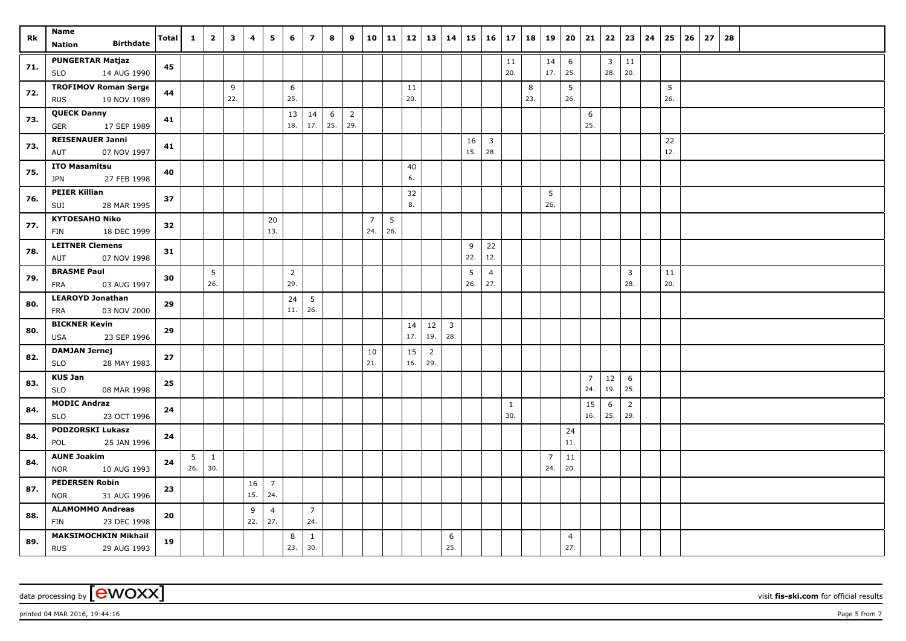| Rk  | Name                                                     | Total | $\mathbf{1}$ | $\mathbf{2}$ | $\overline{\mathbf{3}}$ | 4         | 5                     | 6              | $\overline{7}$ | 8   | 9              |                       | 10 11    | 12        | 13                    | 14             | 15  | $16 \mid 17$   |              | 18       | 19             | 20             | 21             | 22                      | 23              | 24 | 25       | 26 | 27 | 28 |  |  |  |  |
|-----|----------------------------------------------------------|-------|--------------|--------------|-------------------------|-----------|-----------------------|----------------|----------------|-----|----------------|-----------------------|----------|-----------|-----------------------|----------------|-----|----------------|--------------|----------|----------------|----------------|----------------|-------------------------|-----------------|----|----------|----|----|----|--|--|--|--|
|     | <b>Birthdate</b><br><b>Nation</b>                        |       |              |              |                         |           |                       |                |                |     |                |                       |          |           |                       |                |     |                |              |          |                |                |                |                         |                 |    |          |    |    |    |  |  |  |  |
| 71. | <b>PUNGERTAR Matjaz</b>                                  | 45    |              |              |                         |           |                       |                |                |     |                |                       |          |           |                       |                |     |                | 11           |          | 14             | 6              |                | $\overline{\mathbf{3}}$ | 11              |    |          |    |    |    |  |  |  |  |
|     | 14 AUG 1990<br><b>SLO</b>                                |       |              |              |                         |           |                       |                |                |     |                |                       |          |           |                       |                |     |                | 20.          |          | 17.            | 25.            |                | 28.                     | 20.             |    |          |    |    |    |  |  |  |  |
| 72. | <b>TROFIMOV Roman Serge</b><br>19 NOV 1989<br><b>RUS</b> | 44    |              |              | 9<br>22.                |           |                       | 6<br>25.       |                |     |                |                       |          | 11<br>20. |                       |                |     |                |              | 8<br>23. |                | 5<br>26.       |                |                         |                 |    | 5<br>26. |    |    |    |  |  |  |  |
|     | <b>QUECK Danny</b>                                       |       |              |              |                         |           |                       | 13             | 14             | 6   | $\overline{2}$ |                       |          |           |                       |                |     |                |              |          |                |                | 6              |                         |                 |    |          |    |    |    |  |  |  |  |
| 73. | 17 SEP 1989<br>GER                                       | 41    |              |              |                         |           |                       | 18.            | 17.            | 25. | 29.            |                       |          |           |                       |                |     |                |              |          |                |                | 25.            |                         |                 |    |          |    |    |    |  |  |  |  |
|     | <b>REISENAUER Janni</b>                                  |       |              |              |                         |           |                       |                |                |     |                |                       |          |           |                       |                | 16  | $\overline{3}$ |              |          |                |                |                |                         |                 |    | 22       |    |    |    |  |  |  |  |
| 73. | 07 NOV 1997<br>AUT                                       | 41    |              |              |                         |           |                       |                |                |     |                |                       |          |           |                       |                | 15. | 28.            |              |          |                |                |                |                         |                 |    | 12.      |    |    |    |  |  |  |  |
| 75. | <b>ITO Masamitsu</b>                                     | 40    |              |              |                         |           |                       |                |                |     |                |                       |          | 40        |                       |                |     |                |              |          |                |                |                |                         |                 |    |          |    |    |    |  |  |  |  |
|     | <b>JPN</b><br>27 FEB 1998                                |       |              |              |                         |           |                       |                |                |     |                |                       |          | 6.        |                       |                |     |                |              |          |                |                |                |                         |                 |    |          |    |    |    |  |  |  |  |
| 76. | <b>PEIER Killian</b>                                     | 37    |              |              |                         |           |                       |                |                |     |                |                       |          | 32        |                       |                |     |                |              |          | 5              |                |                |                         |                 |    |          |    |    |    |  |  |  |  |
|     | 28 MAR 1995<br>SUI                                       |       |              |              |                         |           |                       |                |                |     |                |                       |          | 8.        |                       |                |     |                |              |          | 26.            |                |                |                         |                 |    |          |    |    |    |  |  |  |  |
| 77. | <b>KYTOESAHO Niko</b><br>18 DEC 1999<br>FIN              | 32    |              |              |                         |           | 20<br>13.             |                |                |     |                | $\overline{7}$<br>24. | 5<br>26. |           |                       |                |     |                |              |          |                |                |                |                         |                 |    |          |    |    |    |  |  |  |  |
|     | <b>LEITNER Clemens</b>                                   |       |              |              |                         |           |                       |                |                |     |                |                       |          |           |                       |                | 9   | 22             |              |          |                |                |                |                         |                 |    |          |    |    |    |  |  |  |  |
| 78. | AUT<br>07 NOV 1998                                       | 31    |              |              |                         |           |                       |                |                |     |                |                       |          |           |                       |                | 22. | 12.            |              |          |                |                |                |                         |                 |    |          |    |    |    |  |  |  |  |
|     | <b>BRASME Paul</b>                                       |       |              | 5            |                         |           |                       | $\overline{2}$ |                |     |                |                       |          |           |                       |                | 5   | $\overline{4}$ |              |          |                |                |                |                         | $\overline{3}$  |    | 11       |    |    |    |  |  |  |  |
| 79. | 03 AUG 1997<br>FRA                                       | 30    |              | 26.          |                         |           |                       | 29.            |                |     |                |                       |          |           |                       |                | 26. | 27.            |              |          |                |                |                |                         | 28.             |    | 20.      |    |    |    |  |  |  |  |
| 80. | <b>LEAROYD Jonathan</b>                                  | 29    |              |              |                         |           |                       | 24             | 5              |     |                |                       |          |           |                       |                |     |                |              |          |                |                |                |                         |                 |    |          |    |    |    |  |  |  |  |
|     | FRA<br>03 NOV 2000                                       |       |              |              |                         |           |                       | 11.            | 26.            |     |                |                       |          |           |                       |                |     |                |              |          |                |                |                |                         |                 |    |          |    |    |    |  |  |  |  |
| 80. | <b>BICKNER Kevin</b>                                     | 29    |              |              |                         |           |                       |                |                |     |                |                       |          | 14        | 12                    | $\overline{3}$ |     |                |              |          |                |                |                |                         |                 |    |          |    |    |    |  |  |  |  |
|     | 23 SEP 1996<br><b>USA</b>                                |       |              |              |                         |           |                       |                |                |     |                |                       |          | 17.       | 19.                   | 28.            |     |                |              |          |                |                |                |                         |                 |    |          |    |    |    |  |  |  |  |
| 82. | <b>DAMJAN Jernej</b><br><b>SLO</b><br>28 MAY 1983        | 27    |              |              |                         |           |                       |                |                |     |                | 10<br>21.             |          | 15<br>16. | $\overline{2}$<br>29. |                |     |                |              |          |                |                |                |                         |                 |    |          |    |    |    |  |  |  |  |
|     | <b>KUS Jan</b>                                           |       |              |              |                         |           |                       |                |                |     |                |                       |          |           |                       |                |     |                |              |          |                |                | $\overline{7}$ | 12                      | $6\phantom{.}6$ |    |          |    |    |    |  |  |  |  |
| 83. | <b>SLO</b><br>08 MAR 1998                                | 25    |              |              |                         |           |                       |                |                |     |                |                       |          |           |                       |                |     |                |              |          |                |                | 24.            | 19.                     | 25.             |    |          |    |    |    |  |  |  |  |
|     | <b>MODIC Andraz</b>                                      |       |              |              |                         |           |                       |                |                |     |                |                       |          |           |                       |                |     |                | $\mathbf{1}$ |          |                |                | 15             | 6                       | $\overline{2}$  |    |          |    |    |    |  |  |  |  |
| 84. | 23 OCT 1996<br><b>SLO</b>                                | 24    |              |              |                         |           |                       |                |                |     |                |                       |          |           |                       |                |     |                | 30.          |          |                |                | 16.            | 25.                     | 29.             |    |          |    |    |    |  |  |  |  |
| 84. | <b>PODZORSKI Lukasz</b>                                  | 24    |              |              |                         |           |                       |                |                |     |                |                       |          |           |                       |                |     |                |              |          |                | 24             |                |                         |                 |    |          |    |    |    |  |  |  |  |
|     | 25 JAN 1996<br>POL                                       |       |              |              |                         |           |                       |                |                |     |                |                       |          |           |                       |                |     |                |              |          |                | 11.            |                |                         |                 |    |          |    |    |    |  |  |  |  |
| 84. | <b>AUNE Joakim</b>                                       | 24    | 5            | $\mathbf{1}$ |                         |           |                       |                |                |     |                |                       |          |           |                       |                |     |                |              |          | $\overline{7}$ | 11             |                |                         |                 |    |          |    |    |    |  |  |  |  |
|     | <b>NOR</b><br>10 AUG 1993<br><b>PEDERSEN Robin</b>       |       | 26.          | 30.          |                         |           |                       |                |                |     |                |                       |          |           |                       |                |     |                |              |          | 24.            | 20.            |                |                         |                 |    |          |    |    |    |  |  |  |  |
| 87. | 31 AUG 1996<br><b>NOR</b>                                | 23    |              |              |                         | 16<br>15. | $\overline{7}$<br>24. |                |                |     |                |                       |          |           |                       |                |     |                |              |          |                |                |                |                         |                 |    |          |    |    |    |  |  |  |  |
|     | <b>ALAMOMMO Andreas</b>                                  |       |              |              |                         | 9         | $\overline{4}$        |                | $\overline{7}$ |     |                |                       |          |           |                       |                |     |                |              |          |                |                |                |                         |                 |    |          |    |    |    |  |  |  |  |
| 88. | 23 DEC 1998<br>FIN                                       | 20    |              |              |                         | 22.       | 27.                   |                | 24.            |     |                |                       |          |           |                       |                |     |                |              |          |                |                |                |                         |                 |    |          |    |    |    |  |  |  |  |
|     | <b>MAKSIMOCHKIN Mikhail</b>                              |       |              |              |                         |           |                       | 8              | $\mathbf{1}$   |     |                |                       |          |           |                       | 6              |     |                |              |          |                | $\overline{4}$ |                |                         |                 |    |          |    |    |    |  |  |  |  |
| 89. | <b>RUS</b><br>29 AUG 1993                                | 19    |              |              |                         |           |                       | 23.            | 30.            |     |                |                       |          |           |                       | 25.            |     |                |              |          |                | 27.            |                |                         |                 |    |          |    |    |    |  |  |  |  |

 $p$ rinted 04 MAR 2016, 19:44:16  $p$ age 5 from 7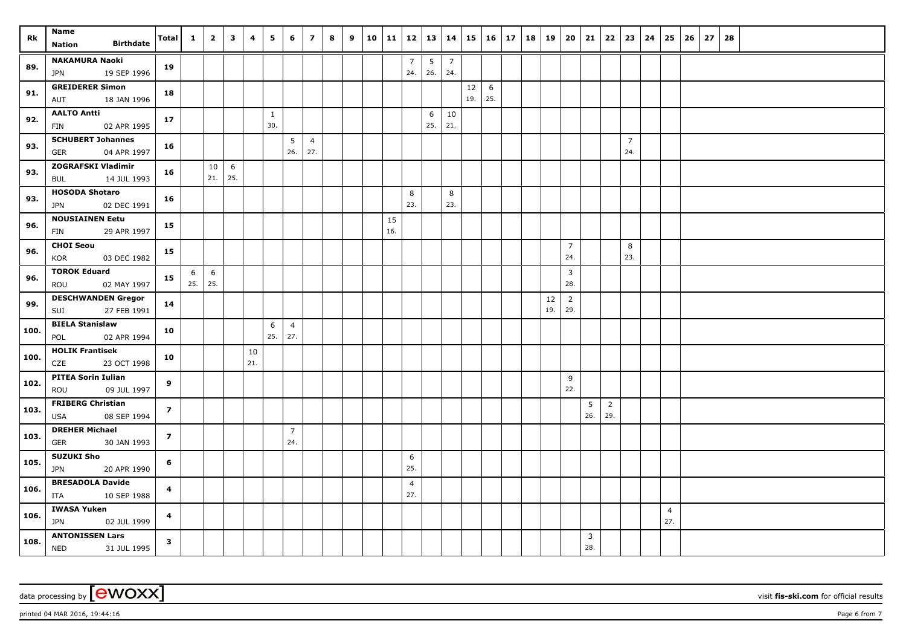| Rk   | Name                                            |                         | $\mathbf{1}$ | $\overline{\mathbf{2}}$ | $\mathbf{3}$ | 4         | 5            | 6                     | $\overline{z}$ | 8 | 9 |     | $10$   11   12   13   14 |     |                |     | $15 \mid 16 \mid 17$ | 18 | 19        | 20                    | 21  | 22             |                | $23 \mid 24$ | 25             | 26 | 27 | 28 |  |  |  |  |
|------|-------------------------------------------------|-------------------------|--------------|-------------------------|--------------|-----------|--------------|-----------------------|----------------|---|---|-----|--------------------------|-----|----------------|-----|----------------------|----|-----------|-----------------------|-----|----------------|----------------|--------------|----------------|----|----|----|--|--|--|--|
|      | <b>Birthdate</b><br><b>Nation</b>               | Total                   |              |                         |              |           |              |                       |                |   |   |     |                          |     |                |     |                      |    |           |                       |     |                |                |              |                |    |    |    |  |  |  |  |
|      | <b>NAKAMURA Naoki</b>                           |                         |              |                         |              |           |              |                       |                |   |   |     | $\overline{7}$           | 5   | $\overline{7}$ |     |                      |    |           |                       |     |                |                |              |                |    |    |    |  |  |  |  |
| 89.  | <b>JPN</b><br>19 SEP 1996                       | 19                      |              |                         |              |           |              |                       |                |   |   |     | 24.                      | 26. | 24.            |     |                      |    |           |                       |     |                |                |              |                |    |    |    |  |  |  |  |
| 91.  | <b>GREIDERER Simon</b>                          |                         |              |                         |              |           |              |                       |                |   |   |     |                          |     |                | 12  | 6                    |    |           |                       |     |                |                |              |                |    |    |    |  |  |  |  |
|      | 18 JAN 1996<br>AUT                              | 18                      |              |                         |              |           |              |                       |                |   |   |     |                          |     |                | 19. | 25.                  |    |           |                       |     |                |                |              |                |    |    |    |  |  |  |  |
| 92.  | <b>AALTO Antti</b>                              | 17                      |              |                         |              |           | $\mathbf{1}$ |                       |                |   |   |     |                          | 6   | 10             |     |                      |    |           |                       |     |                |                |              |                |    |    |    |  |  |  |  |
|      | 02 APR 1995<br>FIN                              |                         |              |                         |              |           | 30.          |                       |                |   |   |     |                          | 25. | 21.            |     |                      |    |           |                       |     |                |                |              |                |    |    |    |  |  |  |  |
| 93.  | <b>SCHUBERT Johannes</b>                        | 16                      |              |                         |              |           |              | 5                     | $\overline{4}$ |   |   |     |                          |     |                |     |                      |    |           |                       |     |                | $\overline{7}$ |              |                |    |    |    |  |  |  |  |
|      | <b>GER</b><br>04 APR 1997                       |                         |              |                         |              |           |              | 26.                   | 27.            |   |   |     |                          |     |                |     |                      |    |           |                       |     |                | 24.            |              |                |    |    |    |  |  |  |  |
| 93.  | <b>ZOGRAFSKI Vladimir</b>                       | 16                      |              | 10                      | 6            |           |              |                       |                |   |   |     |                          |     |                |     |                      |    |           |                       |     |                |                |              |                |    |    |    |  |  |  |  |
|      | 14 JUL 1993<br>BUL                              |                         |              | 21.                     | 25.          |           |              |                       |                |   |   |     |                          |     |                |     |                      |    |           |                       |     |                |                |              |                |    |    |    |  |  |  |  |
| 93.  | <b>HOSODA Shotaro</b>                           | 16                      |              |                         |              |           |              |                       |                |   |   |     | 8                        |     | 8              |     |                      |    |           |                       |     |                |                |              |                |    |    |    |  |  |  |  |
|      | 02 DEC 1991<br><b>JPN</b>                       |                         |              |                         |              |           |              |                       |                |   |   |     | 23.                      |     | 23.            |     |                      |    |           |                       |     |                |                |              |                |    |    |    |  |  |  |  |
| 96.  | <b>NOUSIAINEN Eetu</b>                          | 15                      |              |                         |              |           |              |                       |                |   |   | 15  |                          |     |                |     |                      |    |           |                       |     |                |                |              |                |    |    |    |  |  |  |  |
|      | 29 APR 1997<br><b>FIN</b>                       |                         |              |                         |              |           |              |                       |                |   |   | 16. |                          |     |                |     |                      |    |           |                       |     |                |                |              |                |    |    |    |  |  |  |  |
| 96.  | <b>CHOI Seou</b>                                | 15                      |              |                         |              |           |              |                       |                |   |   |     |                          |     |                |     |                      |    |           | $\overline{7}$        |     |                | 8              |              |                |    |    |    |  |  |  |  |
|      | KOR<br>03 DEC 1982                              |                         |              |                         |              |           |              |                       |                |   |   |     |                          |     |                |     |                      |    |           | 24.                   |     |                | 23.            |              |                |    |    |    |  |  |  |  |
| 96.  | <b>TOROK Eduard</b>                             | 15                      | 6            | 6                       |              |           |              |                       |                |   |   |     |                          |     |                |     |                      |    |           | $\overline{3}$        |     |                |                |              |                |    |    |    |  |  |  |  |
|      | 02 MAY 1997<br>ROU                              |                         | 25.          | 25.                     |              |           |              |                       |                |   |   |     |                          |     |                |     |                      |    |           | 28.                   |     |                |                |              |                |    |    |    |  |  |  |  |
| 99.  | <b>DESCHWANDEN Gregor</b><br>27 FEB 1991<br>SUI | 14                      |              |                         |              |           |              |                       |                |   |   |     |                          |     |                |     |                      |    | 12<br>19. | $\overline{2}$<br>29. |     |                |                |              |                |    |    |    |  |  |  |  |
|      | <b>BIELA Stanislaw</b>                          |                         |              |                         |              |           |              |                       |                |   |   |     |                          |     |                |     |                      |    |           |                       |     |                |                |              |                |    |    |    |  |  |  |  |
| 100. | POL<br>02 APR 1994                              | 10                      |              |                         |              |           | 6<br>25.     | $\overline{4}$<br>27. |                |   |   |     |                          |     |                |     |                      |    |           |                       |     |                |                |              |                |    |    |    |  |  |  |  |
|      | <b>HOLIK Frantisek</b>                          |                         |              |                         |              |           |              |                       |                |   |   |     |                          |     |                |     |                      |    |           |                       |     |                |                |              |                |    |    |    |  |  |  |  |
| 100. | CZE<br>23 OCT 1998                              | 10                      |              |                         |              | 10<br>21. |              |                       |                |   |   |     |                          |     |                |     |                      |    |           |                       |     |                |                |              |                |    |    |    |  |  |  |  |
|      | <b>PITEA Sorin Iulian</b>                       |                         |              |                         |              |           |              |                       |                |   |   |     |                          |     |                |     |                      |    |           | 9                     |     |                |                |              |                |    |    |    |  |  |  |  |
| 102. | ROU<br>09 JUL 1997                              | 9                       |              |                         |              |           |              |                       |                |   |   |     |                          |     |                |     |                      |    |           | 22.                   |     |                |                |              |                |    |    |    |  |  |  |  |
|      | <b>FRIBERG Christian</b>                        |                         |              |                         |              |           |              |                       |                |   |   |     |                          |     |                |     |                      |    |           |                       | 5   | $\overline{2}$ |                |              |                |    |    |    |  |  |  |  |
| 103. | 08 SEP 1994<br>USA                              | $\overline{z}$          |              |                         |              |           |              |                       |                |   |   |     |                          |     |                |     |                      |    |           |                       | 26. | 29.            |                |              |                |    |    |    |  |  |  |  |
|      | <b>DREHER Michael</b>                           |                         |              |                         |              |           |              | $\overline{7}$        |                |   |   |     |                          |     |                |     |                      |    |           |                       |     |                |                |              |                |    |    |    |  |  |  |  |
| 103. | 30 JAN 1993<br>GER                              | $\overline{z}$          |              |                         |              |           |              | 24.                   |                |   |   |     |                          |     |                |     |                      |    |           |                       |     |                |                |              |                |    |    |    |  |  |  |  |
|      | <b>SUZUKI Sho</b>                               |                         |              |                         |              |           |              |                       |                |   |   |     | 6                        |     |                |     |                      |    |           |                       |     |                |                |              |                |    |    |    |  |  |  |  |
| 105. | <b>JPN</b><br>20 APR 1990                       | 6                       |              |                         |              |           |              |                       |                |   |   |     | 25.                      |     |                |     |                      |    |           |                       |     |                |                |              |                |    |    |    |  |  |  |  |
|      | <b>BRESADOLA Davide</b>                         |                         |              |                         |              |           |              |                       |                |   |   |     | $\overline{4}$           |     |                |     |                      |    |           |                       |     |                |                |              |                |    |    |    |  |  |  |  |
| 106. | 10 SEP 1988<br>ITA                              | 4                       |              |                         |              |           |              |                       |                |   |   |     | 27.                      |     |                |     |                      |    |           |                       |     |                |                |              |                |    |    |    |  |  |  |  |
|      | <b>IWASA Yuken</b>                              |                         |              |                         |              |           |              |                       |                |   |   |     |                          |     |                |     |                      |    |           |                       |     |                |                |              | $\overline{4}$ |    |    |    |  |  |  |  |
| 106. | <b>JPN</b><br>02 JUL 1999                       | $\overline{\mathbf{4}}$ |              |                         |              |           |              |                       |                |   |   |     |                          |     |                |     |                      |    |           |                       |     |                |                |              | 27.            |    |    |    |  |  |  |  |
| 108. | <b>ANTONISSEN Lars</b>                          | $\mathbf{3}$            |              |                         |              |           |              |                       |                |   |   |     |                          |     |                |     |                      |    |           |                       | 3   |                |                |              |                |    |    |    |  |  |  |  |
|      | <b>NED</b><br>31 JUL 1995                       |                         |              |                         |              |           |              |                       |                |   |   |     |                          |     |                |     |                      |    |           |                       | 28. |                |                |              |                |    |    |    |  |  |  |  |

data processing by **CWOXX** wisit **fis-ski.com** for official results

printed 04 MAR 2016, 19:44:16  $\rho_{\text{max}}$  Page 6 from 7